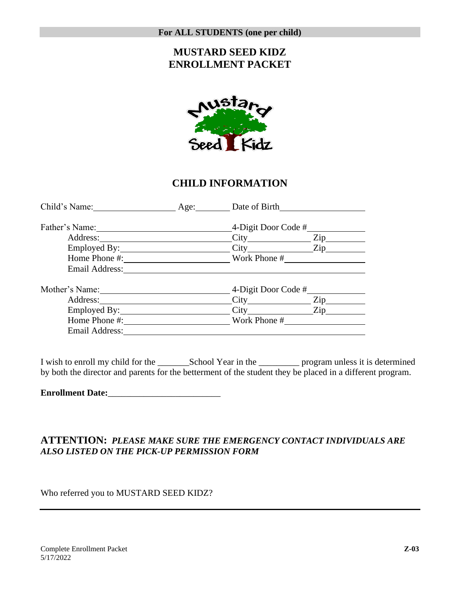## **MUSTARD SEED KIDZ ENROLLMENT PACKET**



#### **CHILD INFORMATION**

| Child's Name:       | Age: | Date of Birth       |     |
|---------------------|------|---------------------|-----|
| Father's Name: 1988 |      | 4-Digit Door Code # |     |
| Address:            |      |                     | Zip |
|                     |      | City Zip            |     |
|                     |      | Work Phone #        |     |
| Email Address:      |      |                     |     |
| Mother's Name:      |      | 4-Digit Door Code # |     |
| Address:            |      |                     | Zip |
|                     |      | City Zip            |     |
| Home Phone #:       |      | Work Phone #        |     |
| Email Address:      |      |                     |     |

I wish to enroll my child for the \_\_\_\_\_\_\_School Year in the \_\_\_\_\_\_\_\_\_ program unless it is determined by both the director and parents for the betterment of the student they be placed in a different program.

**Enrollment Date:**\_\_\_\_\_\_\_\_\_\_\_\_\_\_\_\_\_\_\_\_\_\_\_\_\_

#### **ATTENTION:** *PLEASE MAKE SURE THE EMERGENCY CONTACT INDIVIDUALS ARE ALSO LISTED ON THE PICK-UP PERMISSION FORM*

Who referred you to MUSTARD SEED KIDZ?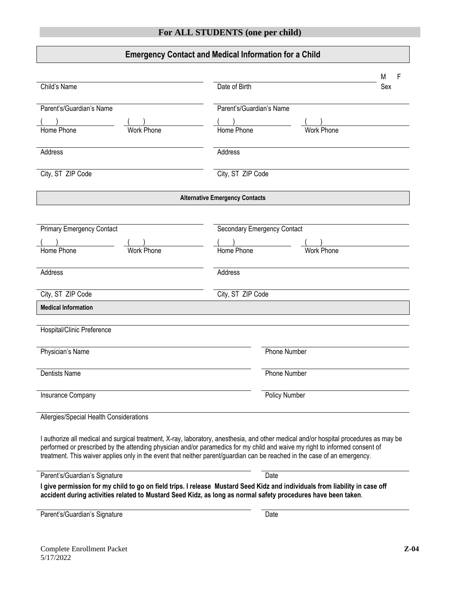#### **Emergency Contact and Medical Information for a Child**

| Child's Name<br>Parent's/Guardian's Name<br>Home Phone<br><b>Work Phone</b>                                                                                                                                                                                                                                                                                                                       | Date of Birth<br>Parent's/Guardian's Name<br>Home Phone<br><b>Work Phone</b> | Sex |  |  |
|---------------------------------------------------------------------------------------------------------------------------------------------------------------------------------------------------------------------------------------------------------------------------------------------------------------------------------------------------------------------------------------------------|------------------------------------------------------------------------------|-----|--|--|
| Address                                                                                                                                                                                                                                                                                                                                                                                           | Address                                                                      |     |  |  |
| City, ST ZIP Code                                                                                                                                                                                                                                                                                                                                                                                 | City, ST ZIP Code                                                            |     |  |  |
|                                                                                                                                                                                                                                                                                                                                                                                                   | <b>Alternative Emergency Contacts</b>                                        |     |  |  |
| <b>Primary Emergency Contact</b><br>Home Phone<br><b>Work Phone</b>                                                                                                                                                                                                                                                                                                                               | <b>Secondary Emergency Contact</b><br>Home Phone<br><b>Work Phone</b>        |     |  |  |
| Address                                                                                                                                                                                                                                                                                                                                                                                           | Address                                                                      |     |  |  |
| City, ST ZIP Code                                                                                                                                                                                                                                                                                                                                                                                 | City, ST ZIP Code                                                            |     |  |  |
| <b>Medical Information</b>                                                                                                                                                                                                                                                                                                                                                                        |                                                                              |     |  |  |
| Hospital/Clinic Preference                                                                                                                                                                                                                                                                                                                                                                        |                                                                              |     |  |  |
| Physician's Name                                                                                                                                                                                                                                                                                                                                                                                  | Phone Number                                                                 |     |  |  |
| <b>Dentists Name</b>                                                                                                                                                                                                                                                                                                                                                                              | <b>Phone Number</b>                                                          |     |  |  |
| Insurance Company                                                                                                                                                                                                                                                                                                                                                                                 | <b>Policy Number</b>                                                         |     |  |  |
| Allergies/Special Health Considerations                                                                                                                                                                                                                                                                                                                                                           |                                                                              |     |  |  |
| I authorize all medical and surgical treatment, X-ray, laboratory, anesthesia, and other medical and/or hospital procedures as may be<br>performed or prescribed by the attending physician and/or paramedics for my child and waive my right to informed consent of<br>treatment. This waiver applies only in the event that neither parent/guardian can be reached in the case of an emergency. |                                                                              |     |  |  |
| Parent's/Guardian's Signature                                                                                                                                                                                                                                                                                                                                                                     | Date                                                                         |     |  |  |
| I give permission for my child to go on field trips. I release Mustard Seed Kidz and individuals from liability in case off<br>accident during activities related to Mustard Seed Kidz, as long as normal safety procedures have been taken.                                                                                                                                                      |                                                                              |     |  |  |
| Parent's/Guardian's Signature                                                                                                                                                                                                                                                                                                                                                                     | Date                                                                         |     |  |  |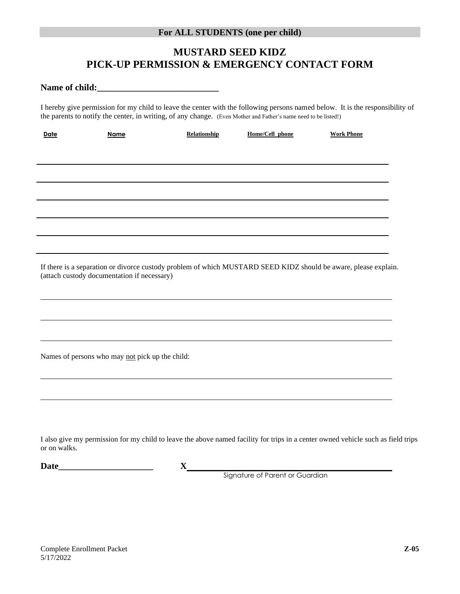## **MUSTARD SEED KIDZ PICK-UP PERMISSION & EMERGENCY CONTACT FORM**

**Name of child:\_\_\_\_\_\_\_\_\_\_\_\_\_\_\_\_\_\_\_\_\_\_\_\_\_\_\_**

I hereby give permission for my child to leave the center with the following persons named below. It is the responsibility of the parents to notify the center, in writing, of any change. (Even Mother and Father's name need to be listed!)

| Date         | Name                                            | Relationship                                                                     | Home/Cell phone                      | <b>Work Phone</b>                                                                                                                |
|--------------|-------------------------------------------------|----------------------------------------------------------------------------------|--------------------------------------|----------------------------------------------------------------------------------------------------------------------------------|
|              |                                                 |                                                                                  |                                      |                                                                                                                                  |
|              |                                                 |                                                                                  |                                      |                                                                                                                                  |
|              |                                                 |                                                                                  |                                      |                                                                                                                                  |
|              |                                                 |                                                                                  |                                      |                                                                                                                                  |
|              |                                                 |                                                                                  |                                      |                                                                                                                                  |
|              |                                                 |                                                                                  |                                      |                                                                                                                                  |
|              |                                                 |                                                                                  |                                      |                                                                                                                                  |
|              |                                                 | ,我们也不会有什么。""我们的人,我们也不会有什么?""我们的人,我们也不会有什么?""我们的人,我们也不会有什么?""我们的人,我们也不会有什么?""我们的人 |                                      |                                                                                                                                  |
|              |                                                 |                                                                                  |                                      | <u> 1989 - Johann Stoff, amerikansk politiker (d. 1989)</u>                                                                      |
|              | (attach custody documentation if necessary)     |                                                                                  |                                      | If there is a separation or divorce custody problem of which MUSTARD SEED KIDZ should be aware, please explain.                  |
|              |                                                 |                                                                                  |                                      |                                                                                                                                  |
|              |                                                 |                                                                                  |                                      |                                                                                                                                  |
|              |                                                 |                                                                                  |                                      |                                                                                                                                  |
|              |                                                 | ,我们也不会有什么。""我们的人,我们也不会有什么?""我们的人,我们也不会有什么?""我们的人,我们也不会有什么?""我们的人,我们也不会有什么?""我们的人 |                                      |                                                                                                                                  |
|              | Names of persons who may not pick up the child: |                                                                                  |                                      |                                                                                                                                  |
|              |                                                 |                                                                                  |                                      |                                                                                                                                  |
|              |                                                 |                                                                                  |                                      |                                                                                                                                  |
|              |                                                 |                                                                                  |                                      |                                                                                                                                  |
|              |                                                 |                                                                                  |                                      |                                                                                                                                  |
|              |                                                 |                                                                                  |                                      |                                                                                                                                  |
| or on walks. |                                                 |                                                                                  |                                      | I also give my permission for my child to leave the above named facility for trips in a center owned vehicle such as field trips |
|              | Date <u>Date</u>                                |                                                                                  |                                      |                                                                                                                                  |
|              |                                                 |                                                                                  | X<br>Signature of Parent or Guardian |                                                                                                                                  |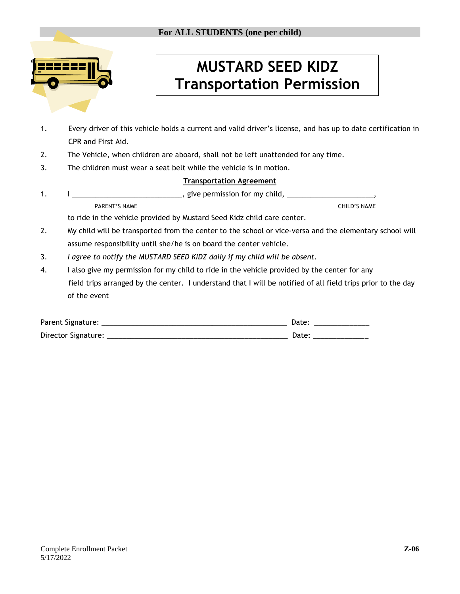

# **MUSTARD SEED KIDZ Transportation Permission**

- 1. Every driver of this vehicle holds a current and valid driver's license, and has up to date certification in CPR and First Aid.
- 2. The Vehicle, when children are aboard, shall not be left unattended for any time.
- 3. The children must wear a seat belt while the vehicle is in motion.

#### **Transportation Agreement**

1. I \_\_\_\_\_\_\_\_\_\_\_\_\_\_\_\_\_\_\_\_\_\_\_\_\_\_\_\_\_\_\_\_\_, give permission for my child, \_\_\_\_\_\_\_\_\_\_ PARENT'S NAME CHILD'S NAME

to ride in the vehicle provided by Mustard Seed Kidz child care center.

- 2. My child will be transported from the center to the school or vice-versa and the elementary school will assume responsibility until she/he is on board the center vehicle.
- 3. *I agree to notify the MUSTARD SEED KIDZ daily if my child will be absent.*
- 4. I also give my permission for my child to ride in the vehicle provided by the center for any field trips arranged by the center. I understand that I will be notified of all field trips prior to the day of the event

| Parent Signature:   | Date |
|---------------------|------|
| Director Signature: | Date |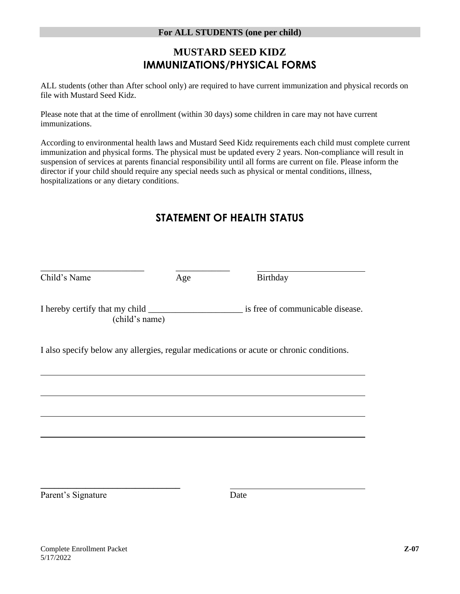## **MUSTARD SEED KIDZ IMMUNIZATIONS/PHYSICAL FORMS**

ALL students (other than After school only) are required to have current immunization and physical records on file with Mustard Seed Kidz.

Please note that at the time of enrollment (within 30 days) some children in care may not have current immunizations.

According to environmental health laws and Mustard Seed Kidz requirements each child must complete current immunization and physical forms. The physical must be updated every 2 years. Non-compliance will result in suspension of services at parents financial responsibility until all forms are current on file. Please inform the director if your child should require any special needs such as physical or mental conditions, illness, hospitalizations or any dietary conditions.

## **STATEMENT OF HEALTH STATUS**

| Child's Name | Age            | Birthday                                                                                |
|--------------|----------------|-----------------------------------------------------------------------------------------|
|              | (child's name) | is free of communicable disease.                                                        |
|              |                | I also specify below any allergies, regular medications or acute or chronic conditions. |
|              |                |                                                                                         |
|              |                |                                                                                         |
|              |                |                                                                                         |

Parent's Signature Date

**\_\_\_\_\_\_\_\_\_\_\_\_\_\_\_\_\_\_\_\_\_\_\_\_\_\_\_\_\_\_\_**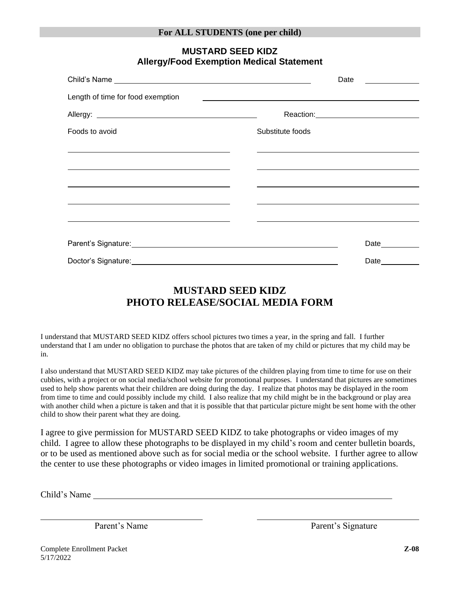| Child's Name Law and the contract of the contract of the contract of the contract of the contract of the contract of the contract of the contract of the contract of the contract of the contract of the contract of the contr |                                                                                                                                                                                                                               | Date          |  |
|--------------------------------------------------------------------------------------------------------------------------------------------------------------------------------------------------------------------------------|-------------------------------------------------------------------------------------------------------------------------------------------------------------------------------------------------------------------------------|---------------|--|
| Length of time for food exemption                                                                                                                                                                                              |                                                                                                                                                                                                                               |               |  |
|                                                                                                                                                                                                                                |                                                                                                                                                                                                                               |               |  |
| Foods to avoid                                                                                                                                                                                                                 | Substitute foods                                                                                                                                                                                                              |               |  |
| <u> 1989 - Johann Stoff, amerikansk politiker (* 1908)</u><br><u> 1989 - Johann Stoff, amerikansk politiker (* 1908)</u>                                                                                                       | the control of the control of the control of the control of the control of the control of the control of the control of the control of the control of the control of the control of the control of the control of the control |               |  |
| the control of the control of the control of the control of the control of the control of the control of the control of the control of the control of the control of the control of the control of the control of the control  |                                                                                                                                                                                                                               |               |  |
|                                                                                                                                                                                                                                |                                                                                                                                                                                                                               |               |  |
| <u> 1989 - Johann Stoff, amerikansk politiker (* 1908)</u>                                                                                                                                                                     |                                                                                                                                                                                                                               |               |  |
| Parent's Signature: Manual Contract of Science Contract of Signature:                                                                                                                                                          |                                                                                                                                                                                                                               | Date_________ |  |
|                                                                                                                                                                                                                                |                                                                                                                                                                                                                               | Date $\_\_$   |  |

#### **MUSTARD SEED KIDZ Allergy/Food Exemption Medical Statement**

## **MUSTARD SEED KIDZ PHOTO RELEASE/SOCIAL MEDIA FORM**

I understand that MUSTARD SEED KIDZ offers school pictures two times a year, in the spring and fall. I further understand that I am under no obligation to purchase the photos that are taken of my child or pictures that my child may be in.

I also understand that MUSTARD SEED KIDZ may take pictures of the children playing from time to time for use on their cubbies, with a project or on social media/school website for promotional purposes. I understand that pictures are sometimes used to help show parents what their children are doing during the day. I realize that photos may be displayed in the room from time to time and could possibly include my child. I also realize that my child might be in the background or play area with another child when a picture is taken and that it is possible that that particular picture might be sent home with the other child to show their parent what they are doing.

I agree to give permission for MUSTARD SEED KIDZ to take photographs or video images of my child. I agree to allow these photographs to be displayed in my child's room and center bulletin boards, or to be used as mentioned above such as for social media or the school website. I further agree to allow the center to use these photographs or video images in limited promotional or training applications.

Child's Name

Parent's Name Parent's Signature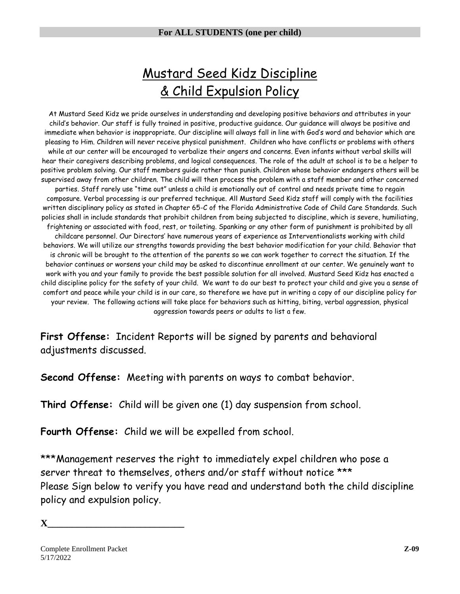## Mustard Seed Kidz Discipline & Child Expulsion Policy

At Mustard Seed Kidz we pride ourselves in understanding and developing positive behaviors and attributes in your child's behavior. Our staff is fully trained in positive, productive guidance. Our guidance will always be positive and immediate when behavior is inappropriate. Our discipline will always fall in line with God's word and behavior which are pleasing to Him. Children will never receive physical punishment. Children who have conflicts or problems with others while at our center will be encouraged to verbalize their angers and concerns. Even infants without verbal skills will hear their caregivers describing problems, and logical consequences. The role of the adult at school is to be a helper to positive problem solving. Our staff members guide rather than punish. Children whose behavior endangers others will be supervised away from other children. The child will then process the problem with a staff member and other concerned parties. Staff rarely use "time out" unless a child is emotionally out of control and needs private time to regain composure. Verbal processing is our preferred technique. All Mustard Seed Kidz staff will comply with the facilities written disciplinary policy as stated in Chapter 65-C of the Florida Administrative Code of Child Care Standards. Such policies shall in include standards that prohibit children from being subjected to discipline, which is severe, humiliating, frightening or associated with food, rest, or toileting. Spanking or any other form of punishment is prohibited by all childcare personnel. Our Directors' have numerous years of experience as Interventionalists working with child behaviors. We will utilize our strengths towards providing the best behavior modification for your child. Behavior that is chronic will be brought to the attention of the parents so we can work together to correct the situation. If the behavior continues or worsens your child may be asked to discontinue enrollment at our center. We genuinely want to work with you and your family to provide the best possible solution for all involved. Mustard Seed Kidz has enacted a child discipline policy for the safety of your child. We want to do our best to protect your child and give you a sense of comfort and peace while your child is in our care, so therefore we have put in writing a copy of our discipline policy for your review. The following actions will take place for behaviors such as hitting, biting, verbal aggression, physical aggression towards peers or adults to list a few.

**First Offense:** Incident Reports will be signed by parents and behavioral adjustments discussed.

**Second Offense:** Meeting with parents on ways to combat behavior.

**Third Offense:** Child will be given one (1) day suspension from school.

**Fourth Offense:** Child we will be expelled from school.

\*\*\*Management reserves the right to immediately expel children who pose a server threat to themselves, others and/or staff without notice \*\*\* Please Sign below to verify you have read and understand both the child discipline policy and expulsion policy.

**X\_\_\_\_\_\_\_\_\_\_\_\_\_\_\_\_\_\_\_\_\_\_\_\_\_\_\_\_**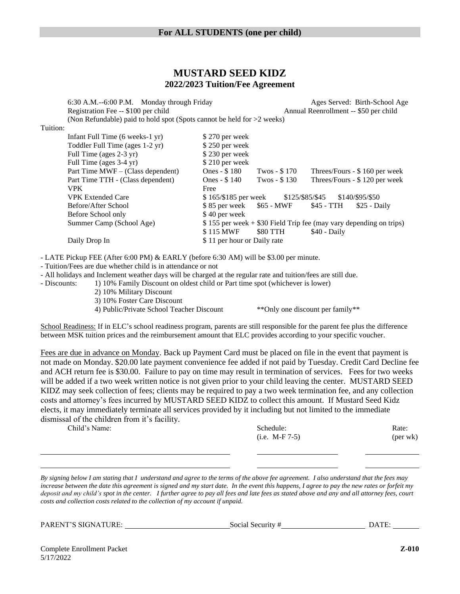#### **MUSTARD SEED KIDZ 2022/2023 Tuition/Fee Agreement**

6:30 A.M.--6:00 P.M. Monday through Friday Ages Served: Birth-School Age Registration Fee -- \$100 per child Annual Reenrollment -- \$50 per child (Non Refundable) paid to hold spot (Spots cannot be held for >2 weeks) Tuition: Infant Full Time (6 weeks-1 yr) \$ 270 per week Toddler Full Time (ages 1-2 yr) \$ 250 per week Full Time (ages 2-3 yr) \$ 230 per week Full Time (ages 3-4 yr) \$ 210 per week Part Time MWF – (Class dependent) Ones - \$ 180 Twos - \$ 170 Threes/Fours - \$ 160 per week Part Time TTH - (Class dependent) Ones - \$ 140 Twos - \$ 130 Threes/Fours - \$ 120 per week VPK Free VPK Extended Care \$ 165/\$185 per week \$125/\$85/\$45 \$140/\$95/\$50 Before/After School \$85 per week \$65 - MWF \$45 - TTH \$25 - Daily Before School only \$40 per week Summer Camp (School Age) \$ 155 per week + \$30 Field Trip fee (may vary depending on trips) \$115 MWF \$80 TTH \$40 - Daily Daily Drop In \$ 11 per hour or Daily rate

- LATE Pickup FEE (After 6:00 PM) & EARLY (before 6:30 AM) will be \$3.00 per minute.

- Tuition/Fees are due whether child is in attendance or not

- All holidays and Inclement weather days will be charged at the regular rate and tuition/fees are still due.

- Discounts: 1) 10% Family Discount on oldest child or Part time spot (whichever is lower)

2) 10% Military Discount

3) 10% Foster Care Discount

4) Public/Private School Teacher Discount \*\*Only one discount per family\*\*

School Readiness: If in ELC's school readiness program, parents are still responsible for the parent fee plus the difference between MSK tuition prices and the reimbursement amount that ELC provides according to your specific voucher.

Fees are due in advance on Monday. Back up Payment Card must be placed on file in the event that payment is not made on Monday. \$20.00 late payment convenience fee added if not paid by Tuesday. Credit Card Decline fee and ACH return fee is \$30.00. Failure to pay on time may result in termination of services. Fees for two weeks will be added if a two week written notice is not given prior to your child leaving the center. MUSTARD SEED KIDZ may seek collection of fees; clients may be required to pay a two week termination fee, and any collection costs and attorney's fees incurred by MUSTARD SEED KIDZ to collect this amount. If Mustard Seed Kidz elects, it may immediately terminate all services provided by it including but not limited to the immediate dismissal of the children from it's facility.

| Child's Name: | Schedule:        | Rate:    |
|---------------|------------------|----------|
|               | $(i.e. M-F 7-5)$ | (per wk) |
|               |                  |          |

*By signing below I am stating that I understand and agree to the terms of the above fee agreement. I also understand that the fees may increase between the date this agreement is signed and my start date. In the event this happens, I agree to pay the new rates or forfeit my deposit and my child's spot in the center. I further agree to pay all fees and late fees as stated above and any and all attorney fees, court costs and collection costs related to the collection of my account if unpaid.* 

PARENT'S SIGNATURE: SOCIAL Social Security # DATE: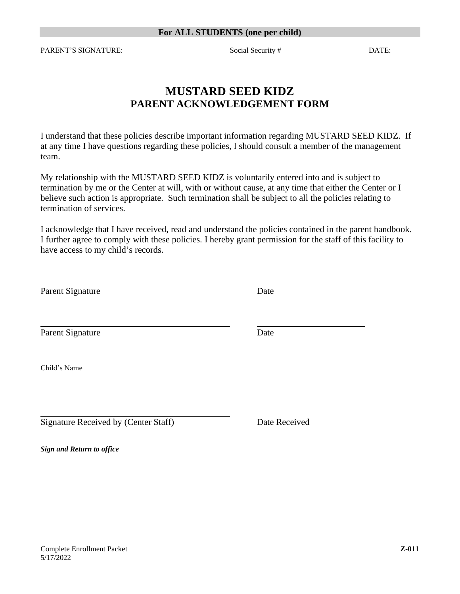PARENT'S SIGNATURE: SOCIAL Social Security # DATE:

## **MUSTARD SEED KIDZ PARENT ACKNOWLEDGEMENT FORM**

I understand that these policies describe important information regarding MUSTARD SEED KIDZ. If at any time I have questions regarding these policies, I should consult a member of the management team.

My relationship with the MUSTARD SEED KIDZ is voluntarily entered into and is subject to termination by me or the Center at will, with or without cause, at any time that either the Center or I believe such action is appropriate. Such termination shall be subject to all the policies relating to termination of services.

I acknowledge that I have received, read and understand the policies contained in the parent handbook. I further agree to comply with these policies. I hereby grant permission for the staff of this facility to have access to my child's records.

| Parent Signature                     | Date          |
|--------------------------------------|---------------|
| Parent Signature                     | Date          |
| Child's Name                         |               |
| Signature Received by (Center Staff) | Date Received |

*Sign and Return to office*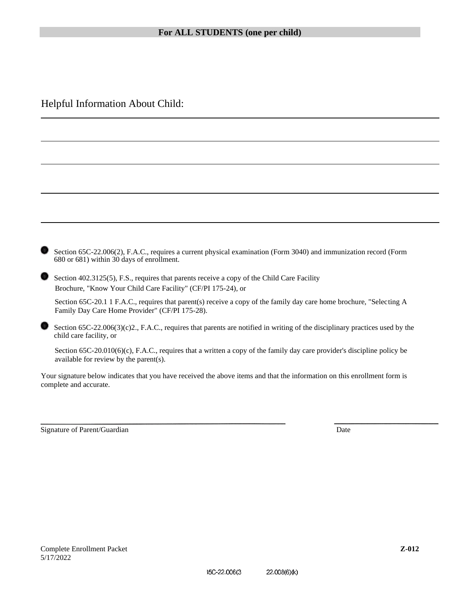Helpful Information About Child:

| Section 65C-22.006(2), F.A.C., requires a current physical examination (Form 3040) and immunization record (Form<br>680 or 681) within 30 days of enrollment. |
|---------------------------------------------------------------------------------------------------------------------------------------------------------------|
| Section 402.3125(5). F.S., requires that parents receive a copy of the Child Care Facility                                                                    |

Section 402.3125(5), F.S., requires that parents receive a copy of the Child Care Facility Brochure, "Know Your Child Care Facility" (CF/PI 175-24), or

Section 65C-20.1 1 F.A.C., requires that parent(s) receive a copy of the family day care home brochure, "Selecting A Family Day Care Home Provider" (CF/PI 175-28).

Section  $65C-22.006(3)(c)2$ , F.A.C., requires that parents are notified in writing of the disciplinary practices used by the child care facility, or

Section 65C-20.010(6)(c), F.A.C., requires that a written a copy of the family day care provider's discipline policy be available for review by the parent(s).

Your signature below indicates that you have received the above items and that the information on this enrollment form is complete and accurate.

Signature of Parent/Guardian Date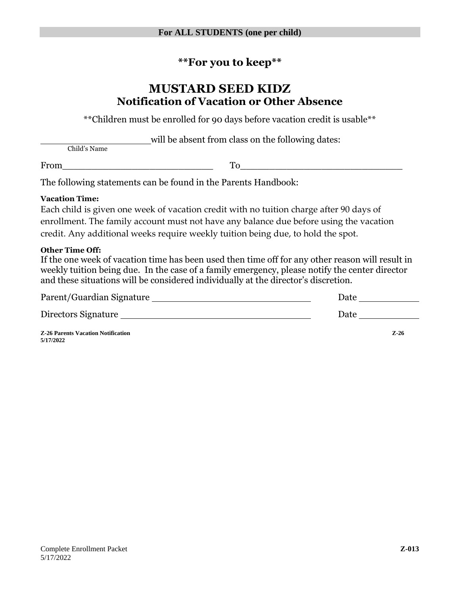## **\*\*For you to keep\*\***

## **MUSTARD SEED KIDZ Notification of Vacation or Other Absence**

\*\*Children must be enrolled for 90 days before vacation credit is usable\*\*

will be absent from class on the following dates:

Child's Name

From\_\_\_\_\_\_\_\_\_\_\_\_\_\_\_\_\_\_\_\_\_\_\_\_\_\_ To\_\_\_\_\_\_\_\_\_\_\_\_\_\_\_\_\_\_\_\_\_\_\_\_\_\_\_\_

The following statements can be found in the Parents Handbook:

#### **Vacation Time:**

Each child is given one week of vacation credit with no tuition charge after 90 days of enrollment. The family account must not have any balance due before using the vacation credit. Any additional weeks require weekly tuition being due, to hold the spot.

#### **Other Time Off:**

**5/17/2022**

If the one week of vacation time has been used then time off for any other reason will result in weekly tuition being due. In the case of a family emergency, please notify the center director and these situations will be considered individually at the director's discretion.

| Parent/Guardian Signature                 | Date |          |
|-------------------------------------------|------|----------|
| Directors Signature                       | Date |          |
| <b>Z-26 Parents Vacation Notification</b> |      | $Z - 26$ |